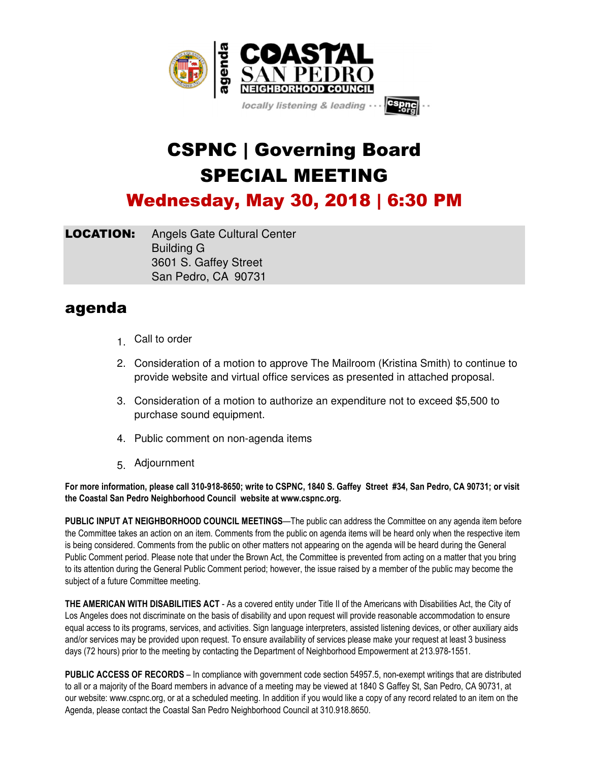

## CSPNC | Governing Board SPECIAL MEETING

Wednesday, May 30, 2018 | 6:30 PM

**LOCATION:** Angels Gate Cultural Center Building G 3601 S. Gaffey Street San Pedro, CA 90731

## agenda

- 1. Call to order
- 2. Consideration of a motion to approve The Mailroom (Kristina Smith) to continue to provide website and virtual office services as presented in attached proposal.
- 3. Consideration of a motion to authorize an expenditure not to exceed \$5,500 to purchase sound equipment.
- 4. Public comment on non-agenda items
- 5. Adjournment

**For more information, please call 310-918-8650; write to CSPNC, 1840 S. Gaffey Street #34, San Pedro, CA 90731; or visit the Coastal San Pedro Neighborhood Council website at www.cspnc.org.**

**PUBLIC INPUT AT NEIGHBORHOOD COUNCIL MEETINGS**—The public can address the Committee on any agenda item before the Committee takes an action on an item. Comments from the public on agenda items will be heard only when the respective item is being considered. Comments from the public on other matters not appearing on the agenda will be heard during the General Public Comment period. Please note that under the Brown Act, the Committee is prevented from acting on a matter that you bring to its attention during the General Public Comment period; however, the issue raised by a member of the public may become the subject of a future Committee meeting.

**THE AMERICAN WITH DISABILITIES ACT** - As a covered entity under Title II of the Americans with Disabilities Act, the City of Los Angeles does not discriminate on the basis of disability and upon request will provide reasonable accommodation to ensure equal access to its programs, services, and activities. Sign language interpreters, assisted listening devices, or other auxiliary aids and/or services may be provided upon request. To ensure availability of services please make your request at least 3 business days (72 hours) prior to the meeting by contacting the Department of Neighborhood Empowerment at 213.978-1551.

**PUBLIC ACCESS OF RECORDS** – In compliance with government code section 54957.5, non-exempt writings that are distributed to all or a majority of the Board members in advance of a meeting may be viewed at 1840 S Gaffey St, San Pedro, CA 90731, at our website: www.cspnc.org, or at a scheduled meeting. In addition if you would like a copy of any record related to an item on the Agenda, please contact the Coastal San Pedro Neighborhood Council at 310.918.8650.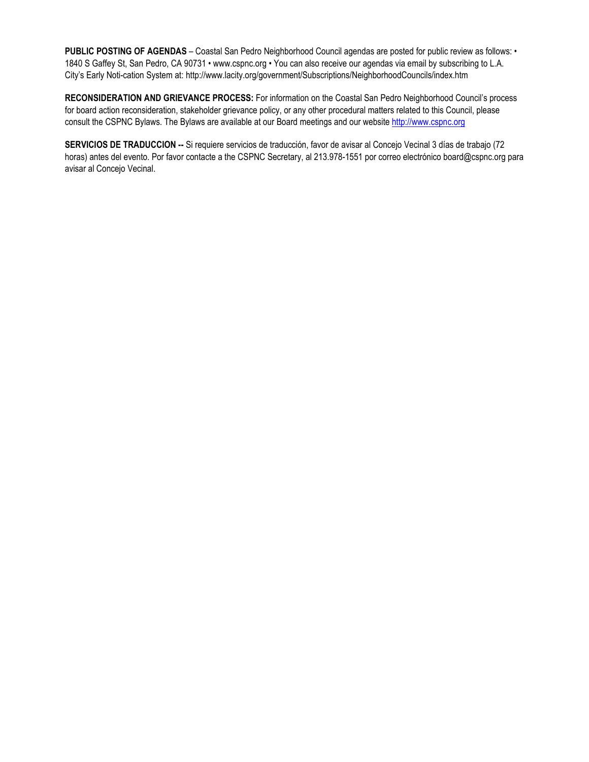**PUBLIC POSTING OF AGENDAS** – Coastal San Pedro Neighborhood Council agendas are posted for public review as follows: • 1840 S Gaffey St, San Pedro, CA 90731 • www.cspnc.org • You can also receive our agendas via email by subscribing to L.A. City's Early Noti-cation System at: http://www.lacity.org/government/Subscriptions/NeighborhoodCouncils/index.htm

**RECONSIDERATION AND GRIEVANCE PROCESS:** For information on the Coastal San Pedro Neighborhood Council's process for board action reconsideration, stakeholder grievance policy, or any other procedural matters related to this Council, please consult the CSPNC Bylaws. The Bylaws are available at our Board meetings and our website http://www.cspnc.org

**SERVICIOS DE TRADUCCION --** Si requiere servicios de traducción, favor de avisar al Concejo Vecinal 3 días de trabajo (72 horas) antes del evento. Por favor contacte a the CSPNC Secretary, al 213.978-1551 por correo electrónico board@cspnc.org para avisar al Concejo Vecinal.